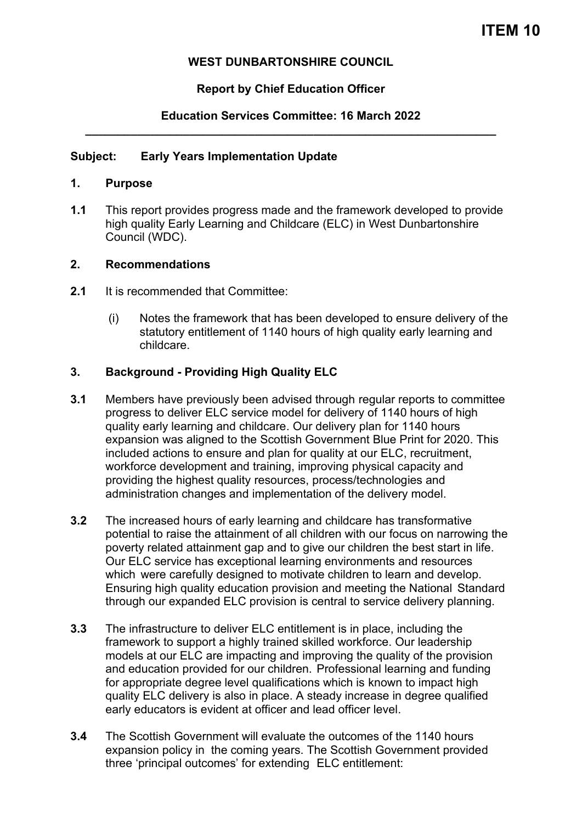# **WEST DUNBARTONSHIRE COUNCIL**

# **Report by Chief Education Officer**

# **Education Services Committee: 16 March 2022 \_\_\_\_\_\_\_\_\_\_\_\_\_\_\_\_\_\_\_\_\_\_\_\_\_\_\_\_\_\_\_\_\_\_\_\_\_\_\_\_\_\_\_\_\_\_\_\_\_\_\_\_\_\_\_\_\_\_\_\_\_\_\_**

## **Subject: Early Years Implementation Update**

#### **1. Purpose**

**1.1** This report provides progress made and the framework developed to provide high quality Early Learning and Childcare (ELC) in West Dunbartonshire Council (WDC).

#### **2. Recommendations**

- **2.1** It is recommended that Committee:
	- (i) Notes the framework that has been developed to ensure delivery of the statutory entitlement of 1140 hours of high quality early learning and childcare.

## **3. Background - Providing High Quality ELC**

- **3.1** Members have previously been advised through regular reports to committee progress to deliver ELC service model for delivery of 1140 hours of high quality early learning and childcare. Our delivery plan for 1140 hours expansion was aligned to the Scottish Government Blue Print for 2020. This included actions to ensure and plan for quality at our ELC, recruitment, workforce development and training, improving physical capacity and providing the highest quality resources, process/technologies and administration changes and implementation of the delivery model.
- **3.2** The increased hours of early learning and childcare has transformative potential to raise the attainment of all children with our focus on narrowing the poverty related attainment gap and to give our children the best start in life. Our ELC service has exceptional learning environments and resources which were carefully designed to motivate children to learn and develop. Ensuring high quality education provision and meeting the National Standard through our expanded ELC provision is central to service delivery planning.
- **3.3** The infrastructure to deliver ELC entitlement is in place, including the framework to support a highly trained skilled workforce. Our leadership models at our ELC are impacting and improving the quality of the provision and education provided for our children. Professional learning and funding for appropriate degree level qualifications which is known to impact high quality ELC delivery is also in place. A steady increase in degree qualified early educators is evident at officer and lead officer level.
- **3.4** The Scottish Government will evaluate the outcomes of the 1140 hours expansion policy in the coming years. The Scottish Government provided three 'principal outcomes' for extending ELC entitlement: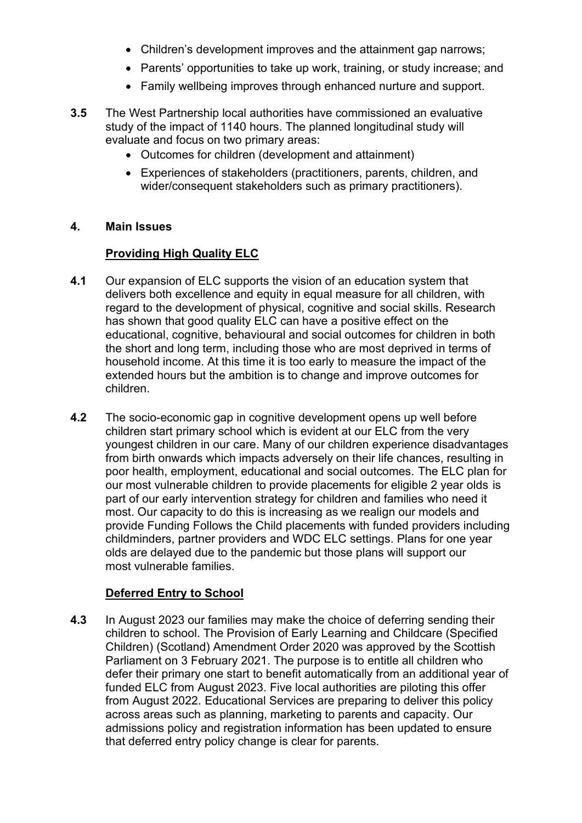- Children's development improves and the attainment gap narrows;
- Parents' opportunities to take up work, training, or study increase; and
- Family wellbeing improves through enhanced nurture and support.
- **3.5** The West Partnership local authorities have commissioned an evaluative study of the impact of 1140 hours. The planned longitudinal study will evaluate and focus on two primary areas:
	- Outcomes for children (development and attainment)
	- Experiences of stakeholders (practitioners, parents, children, and wider/consequent stakeholders such as primary practitioners).

## **4. Main Issues**

# **Providing High Quality ELC**

- **4.1** Our expansion of ELC supports the vision of an education system that delivers both excellence and equity in equal measure for all children, with regard to the development of physical, cognitive and social skills. Research has shown that good quality ELC can have a positive effect on the educational, cognitive, behavioural and social outcomes for children in both the short and long term, including those who are most deprived in terms of household income. At this time it is too early to measure the impact of the extended hours but the ambition is to change and improve outcomes for children.
- **4.2** The socio-economic gap in cognitive development opens up well before children start primary school which is evident at our ELC from the very youngest children in our care. Many of our children experience disadvantages from birth onwards which impacts adversely on their life chances, resulting in poor health, employment, educational and social outcomes. The ELC plan for our most vulnerable children to provide placements for eligible 2 year olds is part of our early intervention strategy for children and families who need it most. Our capacity to do this is increasing as we realign our models and provide Funding Follows the Child placements with funded providers including childminders, partner providers and WDC ELC settings. Plans for one year olds are delayed due to the pandemic but those plans will support our most vulnerable families.

# **Deferred Entry to School**

**4.3** In August 2023 our families may make the choice of deferring sending their children to school. The Provision of Early Learning and Childcare (Specified Children) (Scotland) Amendment Order 2020 was approved by the Scottish Parliament on 3 February 2021. The purpose is to entitle all children who defer their primary one start to benefit automatically from an additional year of funded ELC from August 2023. Five local authorities are piloting this offer from August 2022. Educational Services are preparing to deliver this policy across areas such as planning, marketing to parents and capacity. Our admissions policy and registration information has been updated to ensure that deferred entry policy change is clear for parents.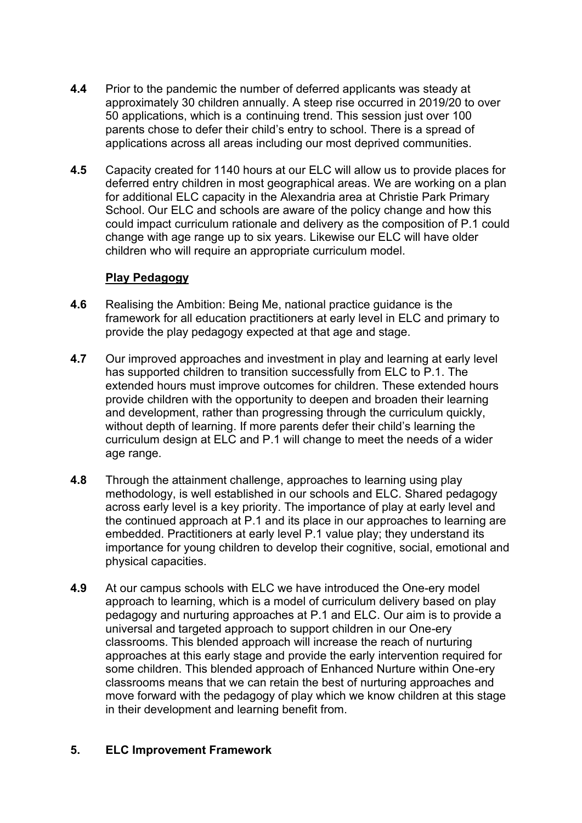- **4.4** Prior to the pandemic the number of deferred applicants was steady at approximately 30 children annually. A steep rise occurred in 2019/20 to over 50 applications, which is a continuing trend. This session just over 100 parents chose to defer their child's entry to school. There is a spread of applications across all areas including our most deprived communities.
- **4.5** Capacity created for 1140 hours at our ELC will allow us to provide places for deferred entry children in most geographical areas. We are working on a plan for additional ELC capacity in the Alexandria area at Christie Park Primary School. Our ELC and schools are aware of the policy change and how this could impact curriculum rationale and delivery as the composition of P.1 could change with age range up to six years. Likewise our ELC will have older children who will require an appropriate curriculum model.

## **Play Pedagogy**

- **4.6** Realising the Ambition: Being Me, national practice guidance is the framework for all education practitioners at early level in ELC and primary to provide the play pedagogy expected at that age and stage.
- **4.7** Our improved approaches and investment in play and learning at early level has supported children to transition successfully from ELC to P.1. The extended hours must improve outcomes for children. These extended hours provide children with the opportunity to deepen and broaden their learning and development, rather than progressing through the curriculum quickly, without depth of learning. If more parents defer their child's learning the curriculum design at ELC and P.1 will change to meet the needs of a wider age range.
- **4.8** Through the attainment challenge, approaches to learning using play methodology, is well established in our schools and ELC. Shared pedagogy across early level is a key priority. The importance of play at early level and the continued approach at P.1 and its place in our approaches to learning are embedded. Practitioners at early level P.1 value play; they understand its importance for young children to develop their cognitive, social, emotional and physical capacities.
- **4.9** At our campus schools with ELC we have introduced the One-ery model approach to learning, which is a model of curriculum delivery based on play pedagogy and nurturing approaches at P.1 and ELC. Our aim is to provide a universal and targeted approach to support children in our One-ery classrooms. This blended approach will increase the reach of nurturing approaches at this early stage and provide the early intervention required for some children. This blended approach of Enhanced Nurture within One-ery classrooms means that we can retain the best of nurturing approaches and move forward with the pedagogy of play which we know children at this stage in their development and learning benefit from.

# **5. ELC Improvement Framework**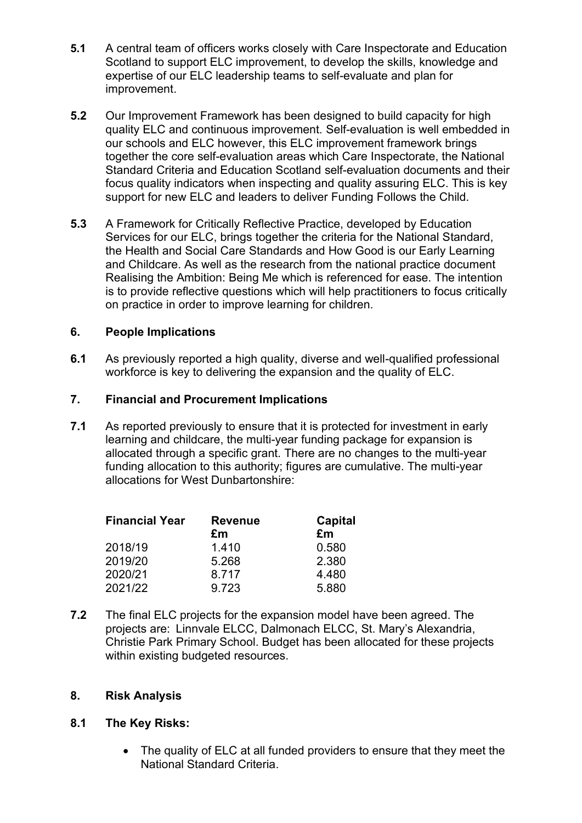- **5.1** A central team of officers works closely with Care Inspectorate and Education Scotland to support ELC improvement, to develop the skills, knowledge and expertise of our ELC leadership teams to self-evaluate and plan for improvement.
- **5.2** Our Improvement Framework has been designed to build capacity for high quality ELC and continuous improvement. Self-evaluation is well embedded in our schools and ELC however, this ELC improvement framework brings together the core self-evaluation areas which Care Inspectorate, the National Standard Criteria and Education Scotland self-evaluation documents and their focus quality indicators when inspecting and quality assuring ELC. This is key support for new ELC and leaders to deliver Funding Follows the Child.
- **5.3** A Framework for Critically Reflective Practice, developed by Education Services for our ELC, brings together the criteria for the National Standard, the Health and Social Care Standards and How Good is our Early Learning and Childcare. As well as the research from the national practice document Realising the Ambition: Being Me which is referenced for ease. The intention is to provide reflective questions which will help practitioners to focus critically on practice in order to improve learning for children.

## **6. People Implications**

**6.1** As previously reported a high quality, diverse and well-qualified professional workforce is key to delivering the expansion and the quality of ELC.

#### **7. Financial and Procurement Implications**

**7.1** As reported previously to ensure that it is protected for investment in early learning and childcare, the multi-year funding package for expansion is allocated through a specific grant. There are no changes to the multi-year funding allocation to this authority; figures are cumulative. The multi-year allocations for West Dunbartonshire:

| <b>Financial Year</b> | <b>Revenue</b> | <b>Capital</b> |
|-----------------------|----------------|----------------|
|                       | £m             | £m             |
| 2018/19               | 1.410          | 0.580          |
| 2019/20               | 5.268          | 2.380          |
| 2020/21               | 8.717          | 4.480          |
| 2021/22               | 9.723          | 5.880          |

**7.2** The final ELC projects for the expansion model have been agreed. The projects are: Linnvale ELCC, Dalmonach ELCC, St. Mary's Alexandria, Christie Park Primary School. Budget has been allocated for these projects within existing budgeted resources.

#### **8. Risk Analysis**

#### **8.1 The Key Risks:**

• The quality of ELC at all funded providers to ensure that they meet the National Standard Criteria.